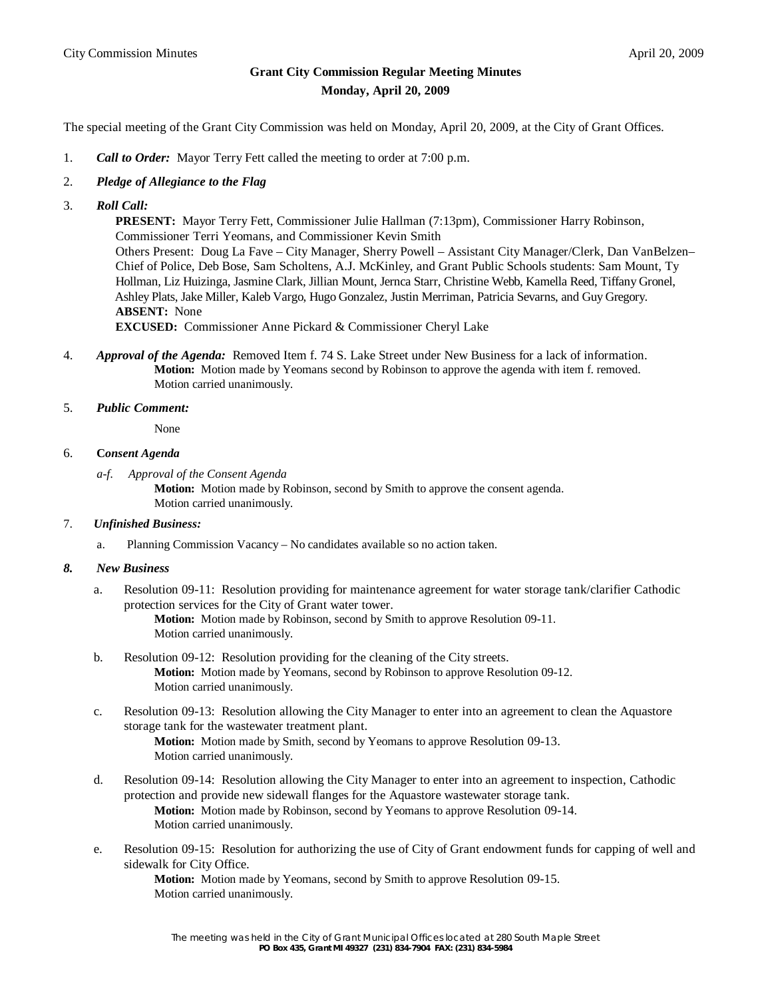# **Grant City Commission Regular Meeting Minutes Monday, April 20, 2009**

The special meeting of the Grant City Commission was held on Monday, April 20, 2009, at the City of Grant Offices.

- 1. *Call to Order:* Mayor Terry Fett called the meeting to order at 7:00 p.m.
- 2. *Pledge of Allegiance to the Flag*
- 3. *Roll Call:*

 **PRESENT:** Mayor Terry Fett, Commissioner Julie Hallman (7:13pm), Commissioner Harry Robinson, Commissioner Terri Yeomans, and Commissioner Kevin Smith Others Present: Doug La Fave – City Manager, Sherry Powell – Assistant City Manager/Clerk, Dan VanBelzen– Chief of Police, Deb Bose, Sam Scholtens, A.J. McKinley, and Grant Public Schools students: Sam Mount, Ty Hollman, Liz Huizinga, Jasmine Clark, Jillian Mount, Jernca Starr, Christine Webb, Kamella Reed, Tiffany Gronel, Ashley Plats, Jake Miller, Kaleb Vargo, Hugo Gonzalez, Justin Merriman, Patricia Sevarns, and Guy Gregory.  **ABSENT:** None

**EXCUSED:** Commissioner Anne Pickard & Commissioner Cheryl Lake

- 4. *Approval of the Agenda:* Removed Item f. 74 S. Lake Street under New Business for a lack of information. **Motion:** Motion made by Yeomans second by Robinson to approve the agenda with item f. removed. Motion carried unanimously.
- 5. *Public Comment:*

None

#### 6. **C***onsent Agenda*

 *a-f. Approval of the Consent Agenda*

**Motion:** Motion made by Robinson, second by Smith to approve the consent agenda. Motion carried unanimously.

- 7. *Unfinished Business:*
	- a. Planning Commission Vacancy No candidates available so no action taken.

## *8. New Business*

a. Resolution 09-11: Resolution providing for maintenance agreement for water storage tank/clarifier Cathodic protection services for the City of Grant water tower.

> **Motion:** Motion made by Robinson, second by Smith to approve Resolution 09-11. Motion carried unanimously.

- b. Resolution 09-12: Resolution providing for the cleaning of the City streets. **Motion:** Motion made by Yeomans, second by Robinson to approve Resolution 09-12. Motion carried unanimously.
- c. Resolution 09-13: Resolution allowing the City Manager to enter into an agreement to clean the Aquastore storage tank for the wastewater treatment plant.

**Motion:** Motion made by Smith, second by Yeomans to approve Resolution 09-13. Motion carried unanimously.

- d. Resolution 09-14: Resolution allowing the City Manager to enter into an agreement to inspection, Cathodic protection and provide new sidewall flanges for the Aquastore wastewater storage tank. **Motion:** Motion made by Robinson, second by Yeomans to approve Resolution 09-14. Motion carried unanimously.
- e. Resolution 09-15: Resolution for authorizing the use of City of Grant endowment funds for capping of well and sidewalk for City Office.

**Motion:** Motion made by Yeomans, second by Smith to approve Resolution 09-15. Motion carried unanimously.